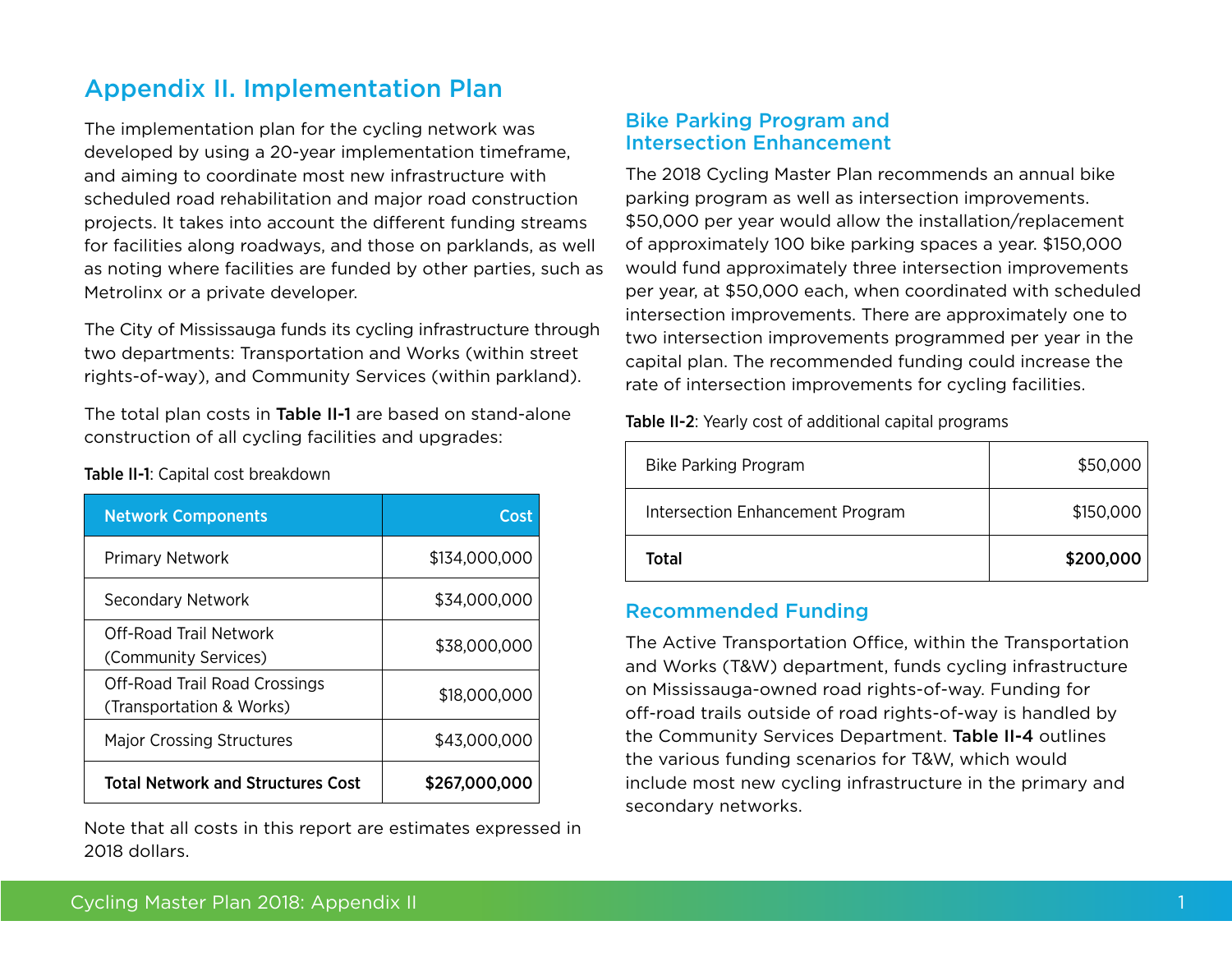# Appendix II. Implementation Plan

The implementation plan for the cycling network was developed by using a 20-year implementation timeframe, and aiming to coordinate most new infrastructure with scheduled road rehabilitation and major road construction projects. It takes into account the different funding streams for facilities along roadways, and those on parklands, as well as noting where facilities are funded by other parties, such as Metrolinx or a private developer.

The City of Mississauga funds its cycling infrastructure through two departments: Transportation and Works (within street rights-of-way), and Community Services (within parkland).

The total plan costs in Table II-1 are based on stand-alone construction of all cycling facilities and upgrades:

| <b>Network Components</b>                                 | Cost          |
|-----------------------------------------------------------|---------------|
| <b>Primary Network</b>                                    | \$134,000,000 |
| Secondary Network                                         | \$34,000,000  |
| Off-Road Trail Network<br>(Community Services)            | \$38,000,000  |
| Off-Road Trail Road Crossings<br>(Transportation & Works) | \$18,000,000  |
| <b>Major Crossing Structures</b>                          | \$43,000,000  |
| <b>Total Network and Structures Cost</b>                  | \$267,000,000 |

Table II-1: Capital cost breakdown

Note that all costs in this report are estimates expressed in 2018 dollars.

#### Bike Parking Program and Intersection Enhancement

The 2018 Cycling Master Plan recommends an annual bike parking program as well as intersection improvements. \$50,000 per year would allow the installation/replacement of approximately 100 bike parking spaces a year. \$150,000 would fund approximately three intersection improvements per year, at \$50,000 each, when coordinated with scheduled intersection improvements. There are approximately one to two intersection improvements programmed per year in the capital plan. The recommended funding could increase the rate of intersection improvements for cycling facilities.

Table II-2: Yearly cost of additional capital programs

| <b>Bike Parking Program</b>      | \$50,000  |
|----------------------------------|-----------|
| Intersection Enhancement Program | \$150,000 |
| Total                            | \$200,000 |

#### Recommended Funding

The Active Transportation Office, within the Transportation and Works (T&W) department, funds cycling infrastructure on Mississauga-owned road rights-of-way. Funding for off-road trails outside of road rights-of-way is handled by the Community Services Department. Table II-4 outlines the various funding scenarios for T&W, which would include most new cycling infrastructure in the primary and secondary networks.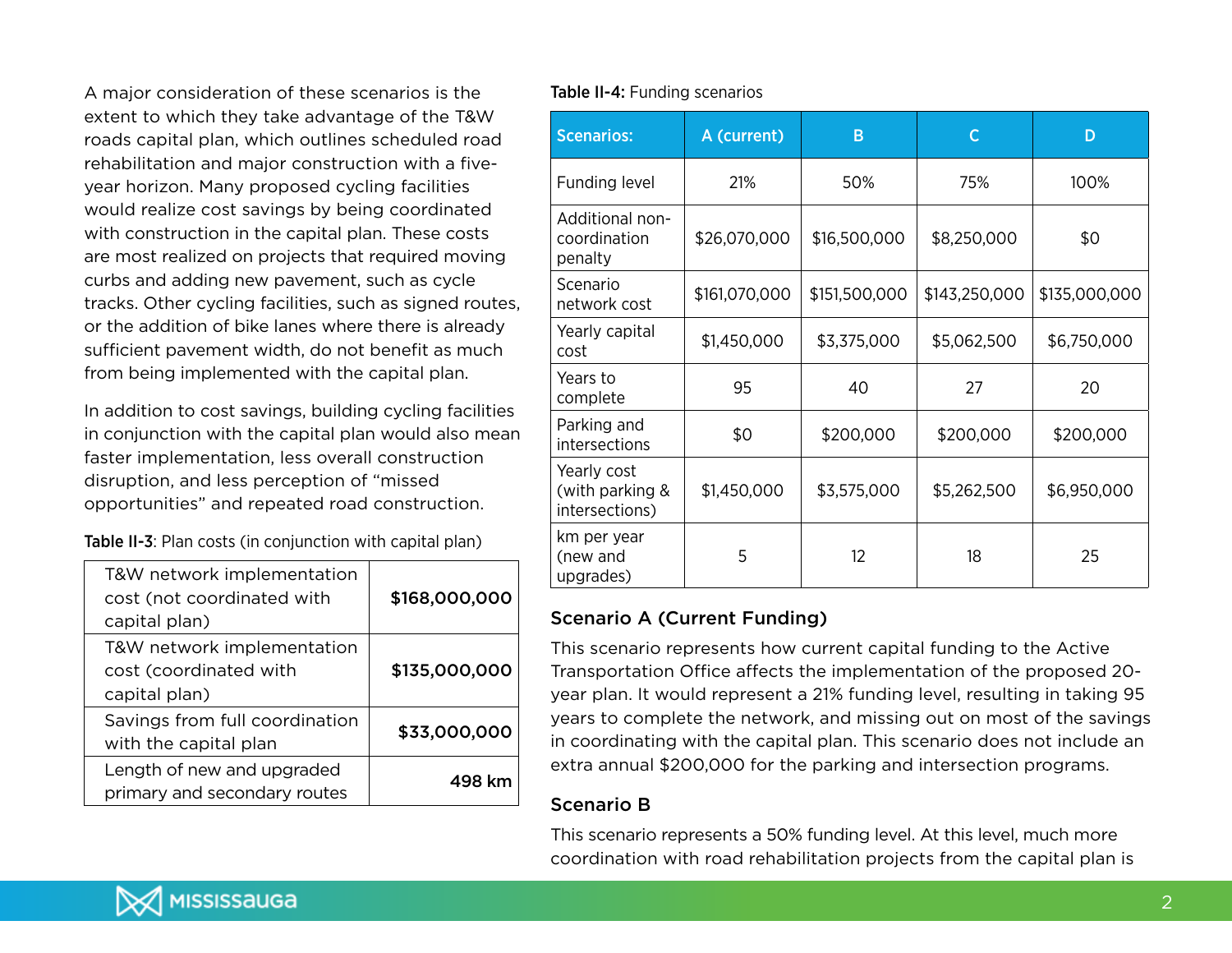A major consideration of these scenarios is the extent to which they take advantage of the T&W roads capital plan, which outlines scheduled road rehabilitation and major construction with a fiveyear horizon. Many proposed cycling facilities would realize cost savings by being coordinated with construction in the capital plan. These costs are most realized on projects that required moving curbs and adding new pavement, such as cycle tracks. Other cycling facilities, such as signed routes, or the addition of bike lanes where there is already sufficient pavement width, do not benefit as much from being implemented with the capital plan.

In addition to cost savings, building cycling facilities in conjunction with the capital plan would also mean faster implementation, less overall construction disruption, and less perception of "missed opportunities" and repeated road construction.

Table II-3: Plan costs (in conjunction with capital plan)

| T&W network implementation<br>cost (not coordinated with<br>capital plan) | \$168,000,000 |
|---------------------------------------------------------------------------|---------------|
| T&W network implementation<br>cost (coordinated with<br>capital plan)     | \$135,000,000 |
| Savings from full coordination<br>with the capital plan                   | \$33,000,000  |
| Length of new and upgraded<br>primary and secondary routes                | 498 km        |

#### Table II-4: Funding scenarios

| <b>Scenarios:</b>                                | A (current)   | B             | $\mathsf{C}$  | D             |
|--------------------------------------------------|---------------|---------------|---------------|---------------|
| Funding level                                    | 21%           | 50%           | 75%           | 100%          |
| Additional non-<br>coordination<br>penalty       | \$26,070,000  | \$16,500,000  | \$8,250,000   | \$0           |
| Scenario<br>network cost                         | \$161,070,000 | \$151,500,000 | \$143,250,000 | \$135,000,000 |
| Yearly capital<br>cost                           | \$1,450,000   | \$3,375,000   | \$5,062,500   | \$6,750,000   |
| Years to<br>complete                             | 95            | 40            | 27            | 20            |
| Parking and<br>intersections                     | \$0           | \$200,000     | \$200,000     | \$200,000     |
| Yearly cost<br>(with parking &<br>intersections) | \$1,450,000   | \$3,575,000   | \$5,262,500   | \$6,950,000   |
| km per year<br>5<br>(new and<br>upgrades)        |               | 12            | 18            | 25            |

#### Scenario A (Current Funding)

This scenario represents how current capital funding to the Active Transportation Office affects the implementation of the proposed 20 year plan. It would represent a 21% funding level, resulting in taking 95 years to complete the network, and missing out on most of the savings in coordinating with the capital plan. This scenario does not include an extra annual \$200,000 for the parking and intersection programs.

## Scenario B

This scenario represents a 50% funding level. At this level, much more coordination with road rehabilitation projects from the capital plan is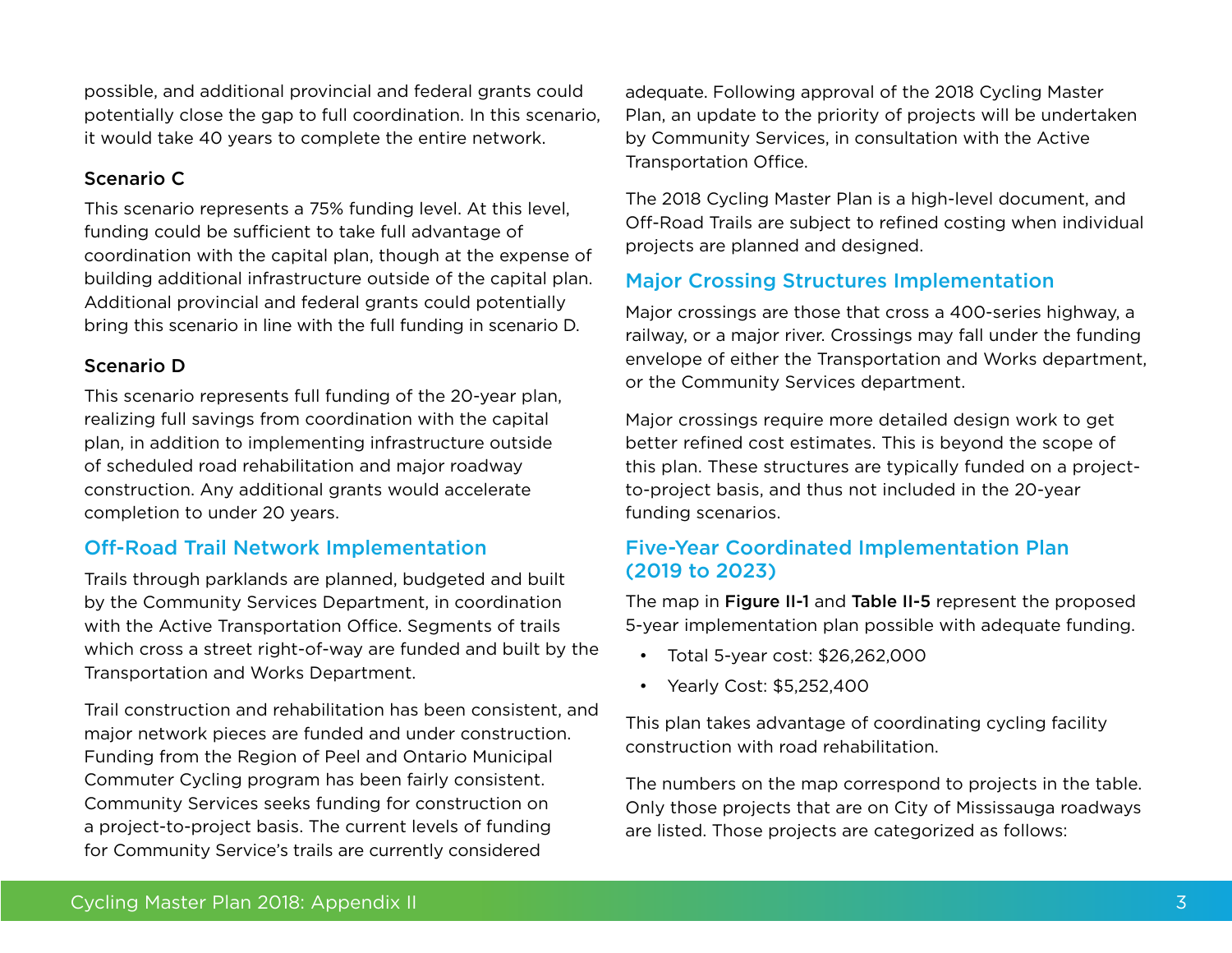possible, and additional provincial and federal grants could potentially close the gap to full coordination. In this scenario, it would take 40 years to complete the entire network.

#### Scenario C

This scenario represents a 75% funding level. At this level, funding could be sufficient to take full advantage of coordination with the capital plan, though at the expense of building additional infrastructure outside of the capital plan. Additional provincial and federal grants could potentially bring this scenario in line with the full funding in scenario D.

#### Scenario D

This scenario represents full funding of the 20-year plan, realizing full savings from coordination with the capital plan, in addition to implementing infrastructure outside of scheduled road rehabilitation and major roadway construction. Any additional grants would accelerate completion to under 20 years.

# Off-Road Trail Network Implementation

Trails through parklands are planned, budgeted and built by the Community Services Department, in coordination with the Active Transportation Office. Segments of trails which cross a street right-of-way are funded and built by the Transportation and Works Department.

Trail construction and rehabilitation has been consistent, and major network pieces are funded and under construction. Funding from the Region of Peel and Ontario Municipal Commuter Cycling program has been fairly consistent. Community Services seeks funding for construction on a project-to-project basis. The current levels of funding for Community Service's trails are currently considered

adequate. Following approval of the 2018 Cycling Master Plan, an update to the priority of projects will be undertaken by Community Services, in consultation with the Active Transportation Office.

The 2018 Cycling Master Plan is a high-level document, and Off-Road Trails are subject to refined costing when individual projects are planned and designed.

## Major Crossing Structures Implementation

Major crossings are those that cross a 400-series highway, a railway, or a major river. Crossings may fall under the funding envelope of either the Transportation and Works department, or the Community Services department.

Major crossings require more detailed design work to get better refined cost estimates. This is beyond the scope of this plan. These structures are typically funded on a projectto-project basis, and thus not included in the 20-year funding scenarios.

## Five-Year Coordinated Implementation Plan (2019 to 2023)

The map in Figure II-1 and Table II-5 represent the proposed 5-year implementation plan possible with adequate funding.

- Total 5-year cost: \$26,262,000
- • Yearly Cost: \$5,252,400

This plan takes advantage of coordinating cycling facility construction with road rehabilitation.

The numbers on the map correspond to projects in the table. Only those projects that are on City of Mississauga roadways are listed. Those projects are categorized as follows: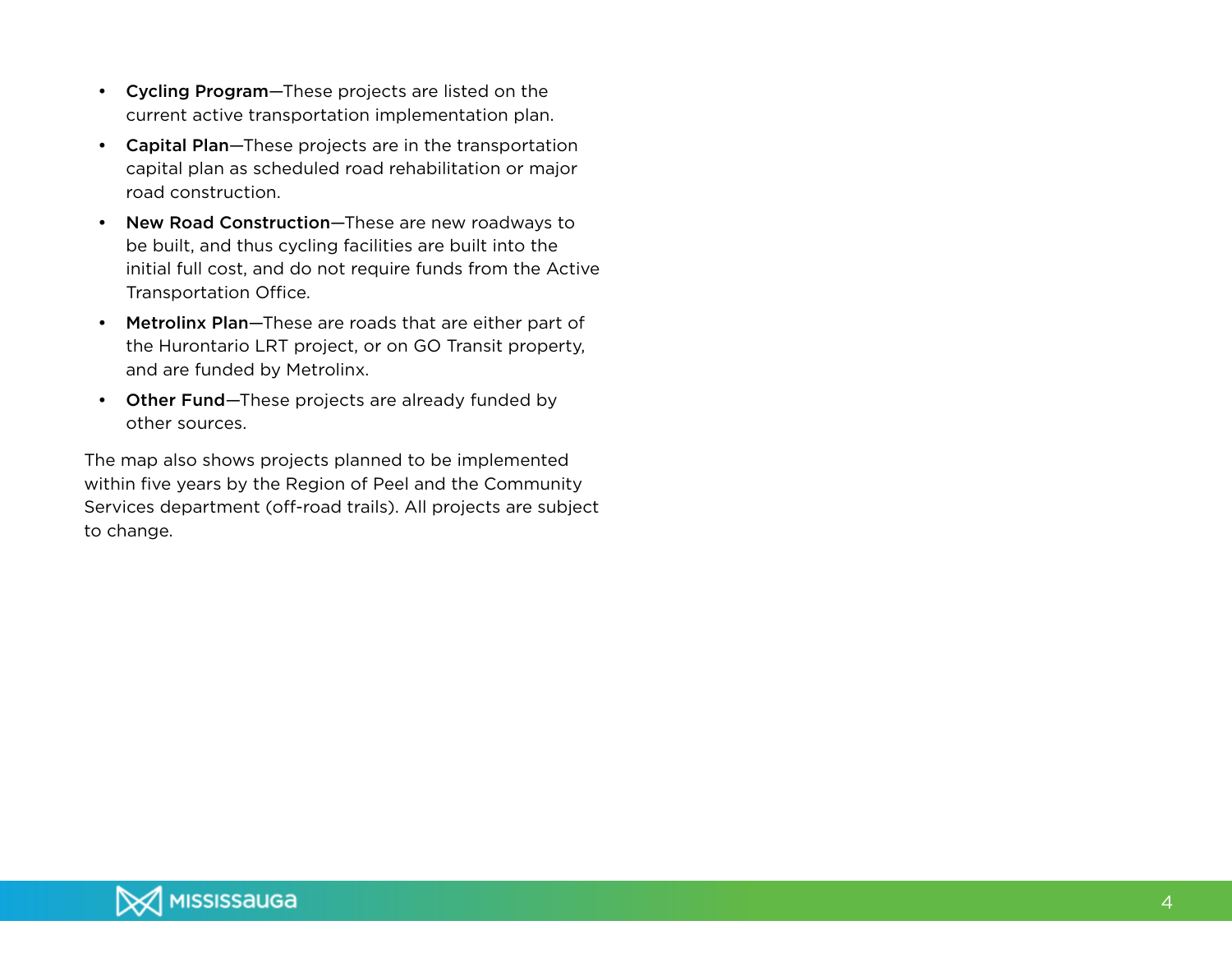- • Cycling Program—These projects are listed on the current active transportation implementation plan.
- Capital Plan-These projects are in the transportation capital plan as scheduled road rehabilitation or major road construction.
- New Road Construction-These are new roadways to be built, and thus cycling facilities are built into the initial full cost, and do not require funds from the Active Transportation Office.
- Metrolinx Plan-These are roads that are either part of the Hurontario LRT project, or on GO Transit property, and are funded by Metrolinx.
- Other Fund-These projects are already funded by other sources.

The map also shows projects planned to be implemented within five years by the Region of Peel and the Community Services department (off-road trails). All projects are subject to change.

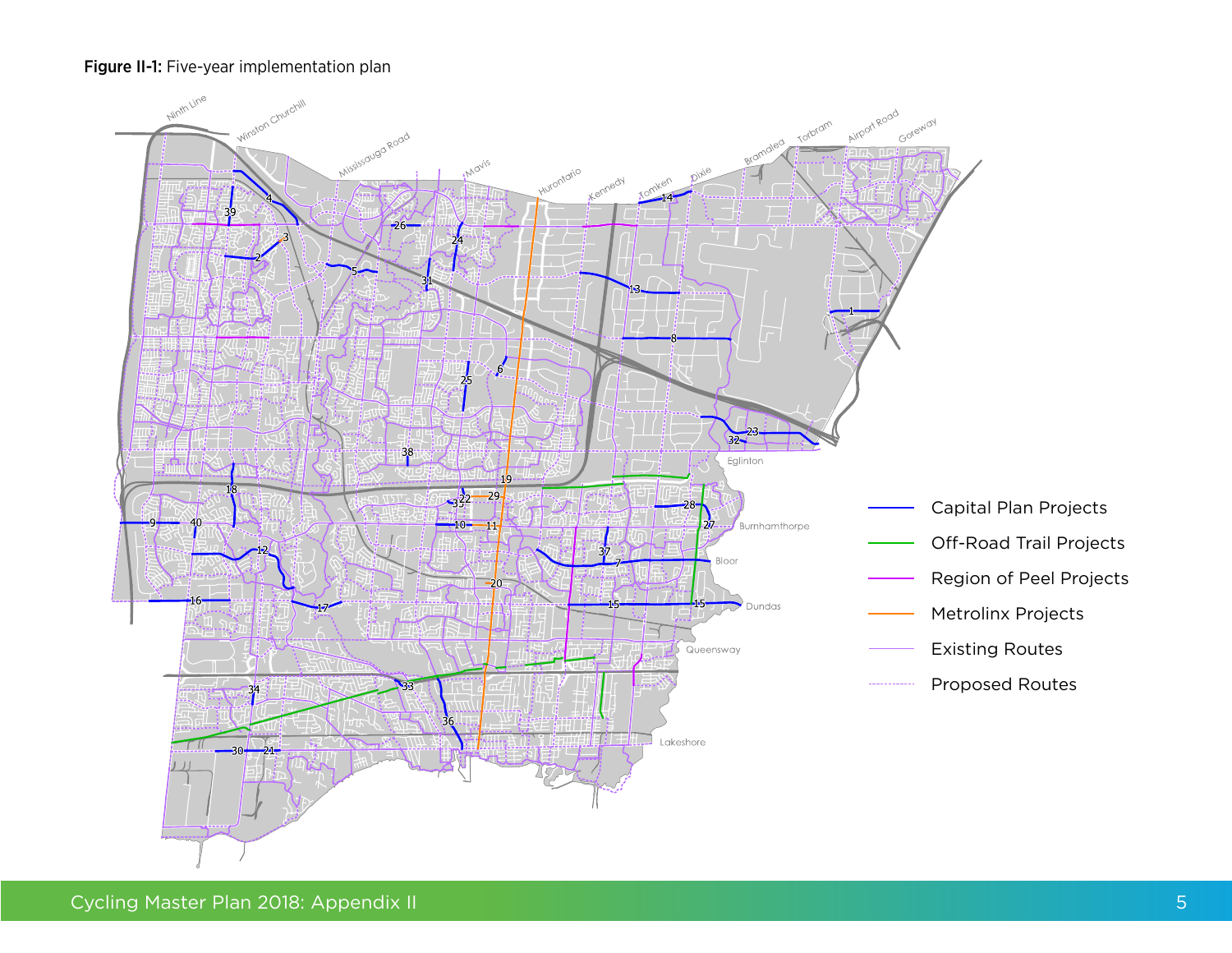#### Figure II-1: Five-year implementation plan

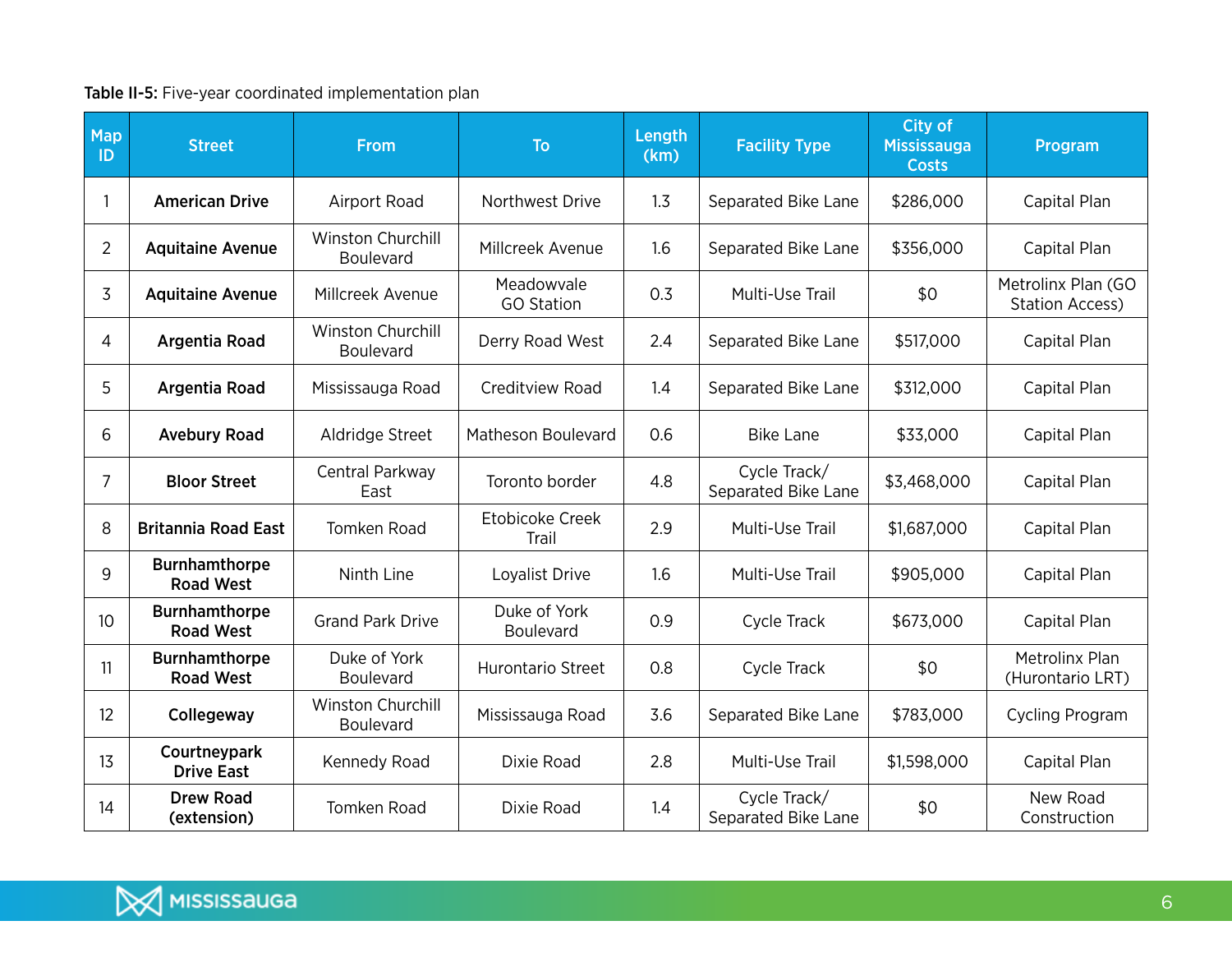## Table II-5: Five-year coordinated implementation plan

| Map<br>ID       | <b>Street</b>                            | <b>From</b>                                  | <b>To</b>                        | Length<br>(km) | <b>Facility Type</b>                | City of<br><b>Mississauga</b><br><b>Costs</b> | Program                                      |
|-----------------|------------------------------------------|----------------------------------------------|----------------------------------|----------------|-------------------------------------|-----------------------------------------------|----------------------------------------------|
|                 | <b>American Drive</b>                    | Airport Road                                 | Northwest Drive                  | 1.3            | Separated Bike Lane                 | \$286,000                                     | Capital Plan                                 |
| $\overline{2}$  | <b>Aquitaine Avenue</b>                  | <b>Winston Churchill</b><br><b>Boulevard</b> | Millcreek Avenue                 | 1.6            | Separated Bike Lane                 | \$356,000                                     | Capital Plan                                 |
| 3               | <b>Aquitaine Avenue</b>                  | Millcreek Avenue                             | Meadowvale<br><b>GO Station</b>  | 0.3            | Multi-Use Trail                     | \$0                                           | Metrolinx Plan (GO<br><b>Station Access)</b> |
| $\overline{4}$  | <b>Argentia Road</b>                     | <b>Winston Churchill</b><br><b>Boulevard</b> | Derry Road West                  | 2.4            | Separated Bike Lane                 | \$517,000                                     | Capital Plan                                 |
| 5               | Argentia Road                            | Mississauga Road                             | Creditview Road                  | 1.4            | Separated Bike Lane                 | \$312,000                                     | Capital Plan                                 |
| 6               | <b>Avebury Road</b>                      | Aldridge Street                              | Matheson Boulevard               | 0.6            | <b>Bike Lane</b>                    | \$33,000                                      | Capital Plan                                 |
| 7               | <b>Bloor Street</b>                      | Central Parkway<br>East                      | Toronto border                   | 4.8            | Cycle Track/<br>Separated Bike Lane | \$3,468,000                                   | Capital Plan                                 |
| 8               | <b>Britannia Road East</b>               | Tomken Road                                  | Etobicoke Creek<br>Trail         | 2.9            | Multi-Use Trail                     | \$1,687,000                                   | Capital Plan                                 |
| 9               | <b>Burnhamthorpe</b><br><b>Road West</b> | Ninth Line                                   | Loyalist Drive                   | 1.6            | Multi-Use Trail                     | \$905,000                                     | Capital Plan                                 |
| 10 <sup>°</sup> | <b>Burnhamthorpe</b><br><b>Road West</b> | <b>Grand Park Drive</b>                      | Duke of York<br><b>Boulevard</b> | 0.9            | <b>Cycle Track</b>                  | \$673,000                                     | Capital Plan                                 |
| 11              | <b>Burnhamthorpe</b><br><b>Road West</b> | Duke of York<br><b>Boulevard</b>             | Hurontario Street                | 0.8            | Cycle Track                         | \$0                                           | Metrolinx Plan<br>(Hurontario LRT)           |
| 12              | Collegeway                               | Winston Churchill<br>Boulevard               | Mississauga Road                 | 3.6            | Separated Bike Lane                 | \$783,000                                     | <b>Cycling Program</b>                       |
| 13              | Courtneypark<br><b>Drive East</b>        | Kennedy Road                                 | Dixie Road                       | 2.8            | Multi-Use Trail                     | \$1,598,000                                   | Capital Plan                                 |
| 14              | <b>Drew Road</b><br>(extension)          | <b>Tomken Road</b>                           | Dixie Road                       | 1.4            | Cycle Track/<br>Separated Bike Lane | \$0                                           | New Road<br>Construction                     |

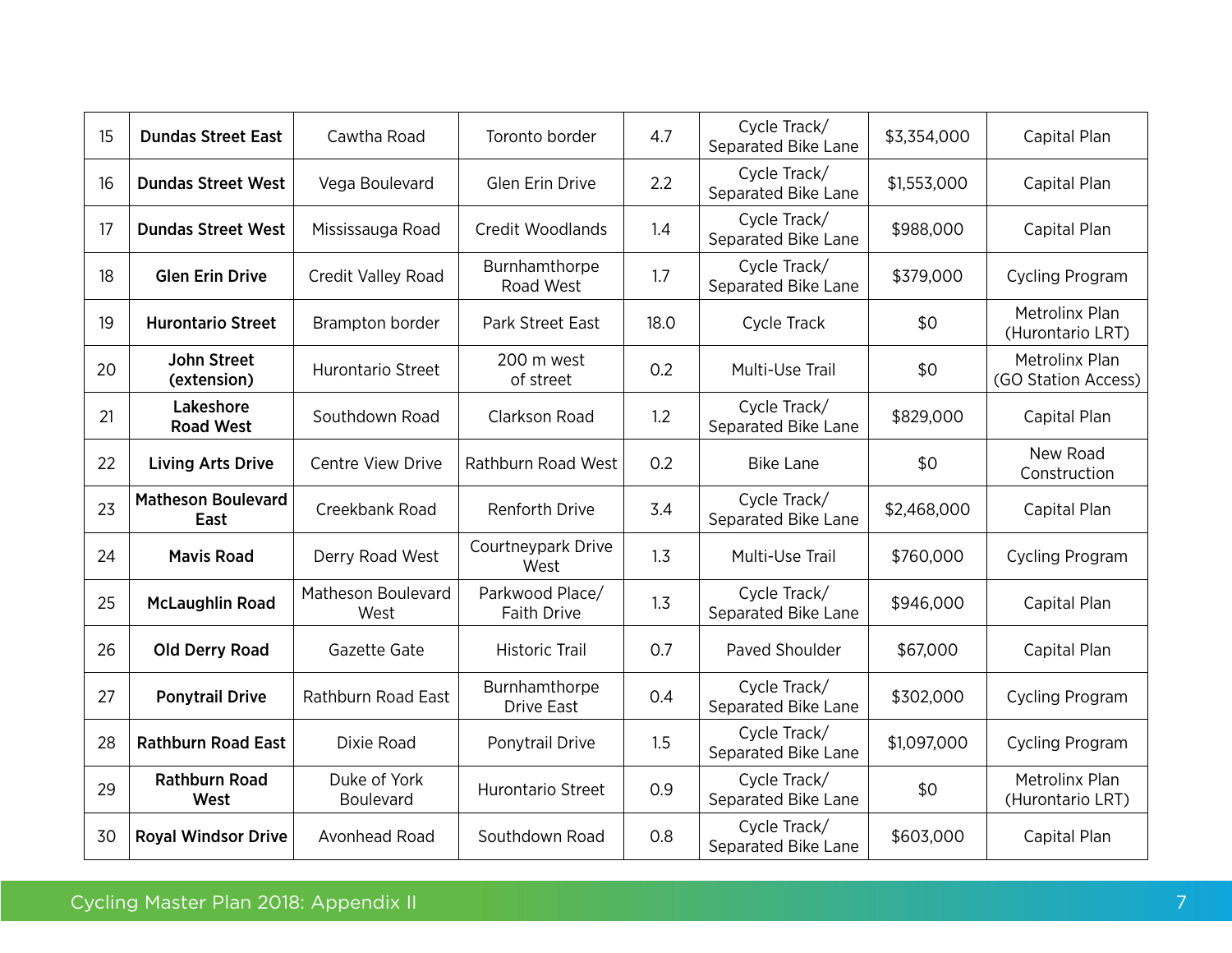| 15 | <b>Dundas Street East</b>         | Cawtha Road                | Toronto border                        | 4.7  | Cycle Track/<br>Separated Bike Lane | \$3,354,000 | Capital Plan                          |
|----|-----------------------------------|----------------------------|---------------------------------------|------|-------------------------------------|-------------|---------------------------------------|
| 16 | <b>Dundas Street West</b>         | Vega Boulevard             | <b>Glen Erin Drive</b>                | 2.2  | Cycle Track/<br>Separated Bike Lane | \$1,553,000 | Capital Plan                          |
| 17 | <b>Dundas Street West</b>         | Mississauga Road           | Credit Woodlands                      | 1.4  | Cycle Track/<br>Separated Bike Lane | \$988,000   | Capital Plan                          |
| 18 | <b>Glen Erin Drive</b>            | Credit Valley Road         | Burnhamthorpe<br>Road West            | 1.7  | Cycle Track/<br>Separated Bike Lane | \$379,000   | Cycling Program                       |
| 19 | <b>Hurontario Street</b>          | Brampton border            | Park Street East                      | 18.0 | Cycle Track                         | \$0         | Metrolinx Plan<br>(Hurontario LRT)    |
| 20 | <b>John Street</b><br>(extension) | <b>Hurontario Street</b>   | 200 m west<br>of street               | 0.2  | Multi-Use Trail                     | \$0         | Metrolinx Plan<br>(GO Station Access) |
| 21 | Lakeshore<br><b>Road West</b>     | Southdown Road             | Clarkson Road                         | 1.2  | Cycle Track/<br>Separated Bike Lane | \$829,000   | Capital Plan                          |
| 22 | <b>Living Arts Drive</b>          | <b>Centre View Drive</b>   | Rathburn Road West                    | 0.2  | <b>Bike Lane</b>                    | \$0         | New Road<br>Construction              |
| 23 | <b>Matheson Boulevard</b><br>East | Creekbank Road             | <b>Renforth Drive</b>                 | 3.4  | Cycle Track/<br>Separated Bike Lane | \$2,468,000 | Capital Plan                          |
| 24 | <b>Mavis Road</b>                 | Derry Road West            | Courtneypark Drive<br>West            | 1.3  | Multi-Use Trail                     | \$760,000   | Cycling Program                       |
| 25 | <b>McLaughlin Road</b>            | Matheson Boulevard<br>West | Parkwood Place/<br><b>Faith Drive</b> | 1.3  | Cycle Track/<br>Separated Bike Lane | \$946,000   | Capital Plan                          |
| 26 | <b>Old Derry Road</b>             | Gazette Gate               | <b>Historic Trail</b>                 | 0.7  | Paved Shoulder                      | \$67,000    | Capital Plan                          |
| 27 | <b>Ponytrail Drive</b>            | Rathburn Road East         | Burnhamthorpe<br><b>Drive East</b>    | 0.4  | Cycle Track/<br>Separated Bike Lane | \$302,000   | <b>Cycling Program</b>                |
| 28 | <b>Rathburn Road East</b>         | Dixie Road                 | Ponytrail Drive                       | 1.5  | Cycle Track/<br>Separated Bike Lane | \$1,097,000 | Cycling Program                       |
| 29 | <b>Rathburn Road</b><br>West      | Duke of York<br>Boulevard  | Hurontario Street                     | 0.9  | Cycle Track/<br>Separated Bike Lane | \$0         | Metrolinx Plan<br>(Hurontario LRT)    |
| 30 | <b>Royal Windsor Drive</b>        | Avonhead Road              | Southdown Road                        | 0.8  | Cycle Track/<br>Separated Bike Lane | \$603,000   | Capital Plan                          |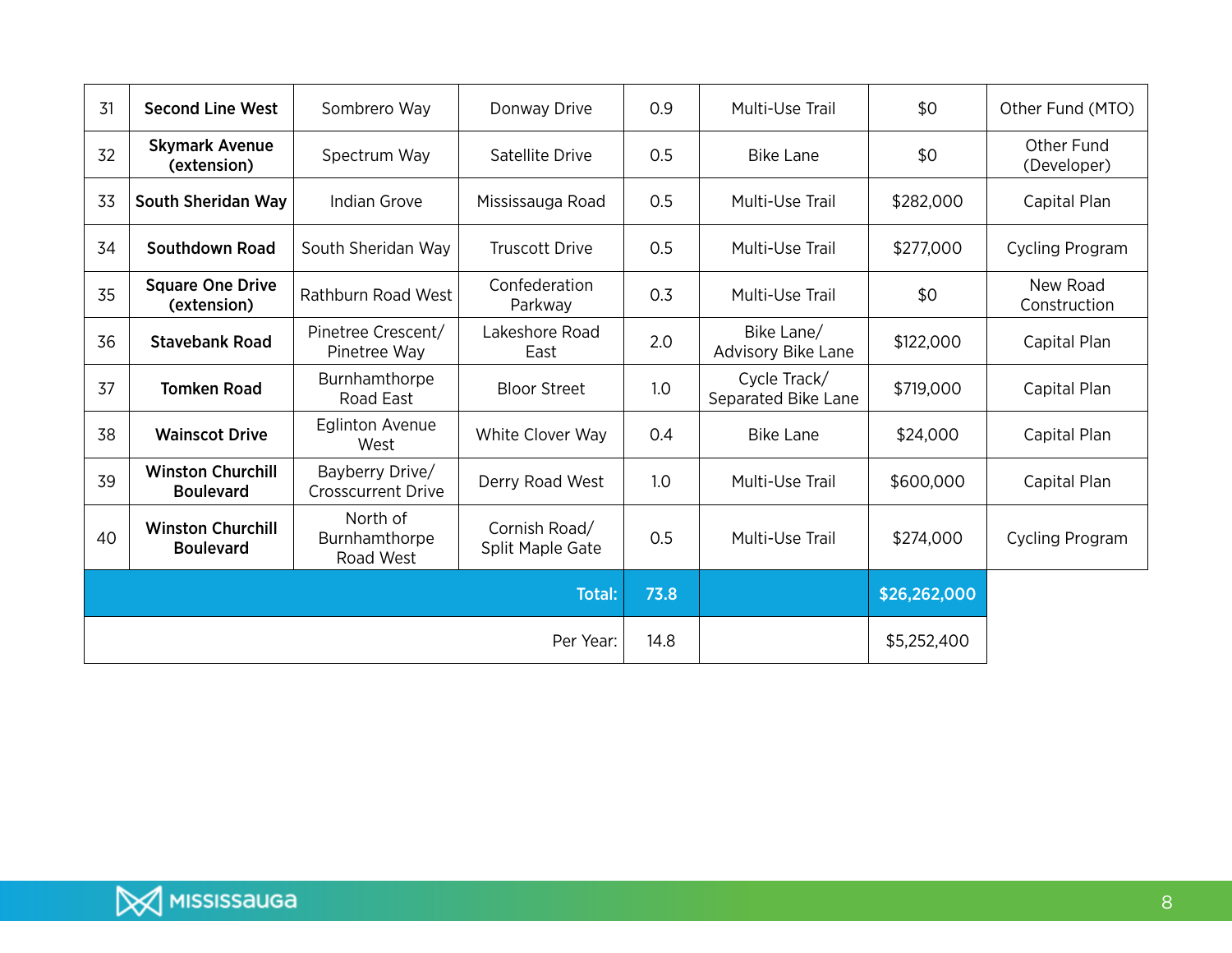| 31 | <b>Second Line West</b>                      | Sombrero Way                                 | Donway Drive                      | 0.9  | Multi-Use Trail                     | \$0          | Other Fund (MTO)          |
|----|----------------------------------------------|----------------------------------------------|-----------------------------------|------|-------------------------------------|--------------|---------------------------|
| 32 | <b>Skymark Avenue</b><br>(extension)         | Spectrum Way                                 | Satellite Drive                   | 0.5  | <b>Bike Lane</b>                    | \$0          | Other Fund<br>(Developer) |
| 33 | South Sheridan Way                           | Indian Grove                                 | Mississauga Road                  | 0.5  | Multi-Use Trail                     | \$282,000    | Capital Plan              |
| 34 | Southdown Road                               | South Sheridan Way                           | <b>Truscott Drive</b>             | 0.5  | Multi-Use Trail                     | \$277,000    | <b>Cycling Program</b>    |
| 35 | <b>Square One Drive</b><br>(extension)       | Rathburn Road West                           | Confederation<br>Parkway          | 0.3  | Multi-Use Trail                     | \$0          | New Road<br>Construction  |
| 36 | <b>Stavebank Road</b>                        | Pinetree Crescent/<br>Pinetree Way           | Lakeshore Road<br>East            | 2.0  | Bike Lane/<br>Advisory Bike Lane    | \$122,000    | Capital Plan              |
| 37 | <b>Tomken Road</b>                           | Burnhamthorpe<br>Road East                   | <b>Bloor Street</b>               | 1.0  | Cycle Track/<br>Separated Bike Lane | \$719,000    | Capital Plan              |
| 38 | <b>Wainscot Drive</b>                        | <b>Eglinton Avenue</b><br>West               | White Clover Way                  | 0.4  | <b>Bike Lane</b>                    | \$24,000     | Capital Plan              |
| 39 | <b>Winston Churchill</b><br><b>Boulevard</b> | Bayberry Drive/<br><b>Crosscurrent Drive</b> | Derry Road West                   | 1.0  | Multi-Use Trail                     | \$600,000    | Capital Plan              |
| 40 | <b>Winston Churchill</b><br><b>Boulevard</b> | North of<br>Burnhamthorpe<br>Road West       | Cornish Road/<br>Split Maple Gate |      | Multi-Use Trail                     | \$274,000    | Cycling Program           |
|    |                                              |                                              | <b>Total:</b>                     | 73.8 |                                     | \$26,262,000 |                           |
|    |                                              |                                              | Per Year:                         | 14.8 |                                     | \$5,252,400  |                           |